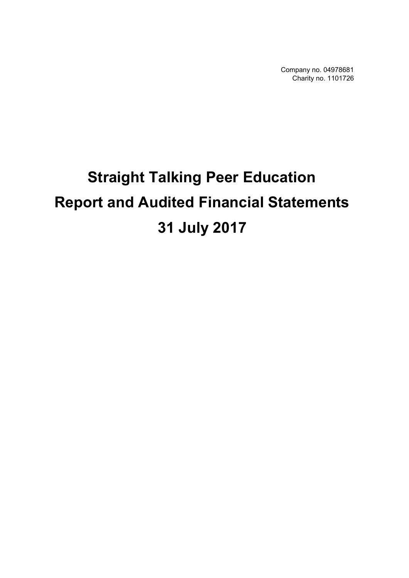Company no. 04978681 Charity no. 1101726

# **Straight Talking Peer Education Report and Audited Financial Statements 31 July 2017**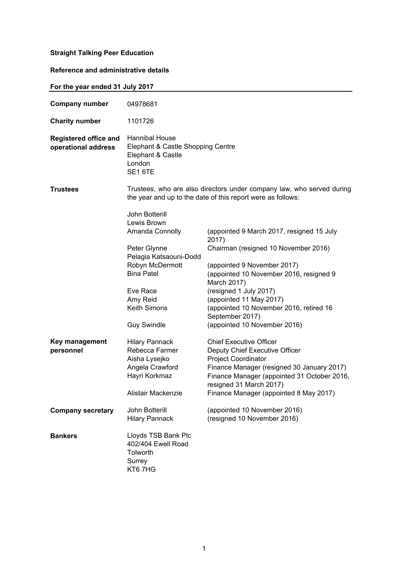# **Reference and administrative details**

| For the year ended 31 July 2017                     |                                                                                                                                                                                                         |                                                                                                                                                                                                                                                                                                                                        |
|-----------------------------------------------------|---------------------------------------------------------------------------------------------------------------------------------------------------------------------------------------------------------|----------------------------------------------------------------------------------------------------------------------------------------------------------------------------------------------------------------------------------------------------------------------------------------------------------------------------------------|
| <b>Company number</b>                               | 04978681                                                                                                                                                                                                |                                                                                                                                                                                                                                                                                                                                        |
| <b>Charity number</b>                               | 1101726                                                                                                                                                                                                 |                                                                                                                                                                                                                                                                                                                                        |
| <b>Registered office and</b><br>operational address | Hannibal House<br>Elephant & Castle Shopping Centre<br>Elephant & Castle<br>London<br>SE1 6TE                                                                                                           |                                                                                                                                                                                                                                                                                                                                        |
| <b>Trustees</b>                                     |                                                                                                                                                                                                         | Trustees, who are also directors under company law, who served during<br>the year and up to the date of this report were as follows:                                                                                                                                                                                                   |
|                                                     | John Botterill<br>Lewis Brown<br>Amanda Connolly<br>Peter Glynne<br>Pelagia Katsaouni-Dodd<br>Robyn McDermott<br><b>Bina Patel</b><br>Eve Race<br>Amy Reid<br><b>Keith Simons</b><br><b>Guy Swindle</b> | (appointed 9 March 2017, resigned 15 July<br>2017)<br>Chairman (resigned 10 November 2016)<br>(appointed 9 November 2017)<br>(appointed 10 November 2016, resigned 9<br>March 2017)<br>(resigned 1 July 2017)<br>(appointed 11 May 2017)<br>(appointed 10 November 2016, retired 16<br>September 2017)<br>(appointed 10 November 2016) |
| Key management<br>personnel                         | <b>Hilary Pannack</b><br>Rebecca Farmer<br>Aisha Lysejko<br>Angela Crawford<br>Hayri Korkmaz<br>Alistair Mackenzie                                                                                      | <b>Chief Executive Officer</b><br>Deputy Chief Executive Officer<br><b>Project Coordinator</b><br>Finance Manager (resigned 30 January 2017)<br>Finance Manager (appointed 31 October 2016,<br>resigned 31 March 2017)<br>Finance Manager (appointed 8 May 2017)                                                                       |
| <b>Company secretary</b>                            | John Botterill<br><b>Hilary Pannack</b>                                                                                                                                                                 | (appointed 10 November 2016)<br>(resigned 10 November 2016)                                                                                                                                                                                                                                                                            |
| <b>Bankers</b>                                      | Lloyds TSB Bank Plc<br>402/404 Ewell Road<br>Tolworth<br>Surrey<br>KT67HG                                                                                                                               |                                                                                                                                                                                                                                                                                                                                        |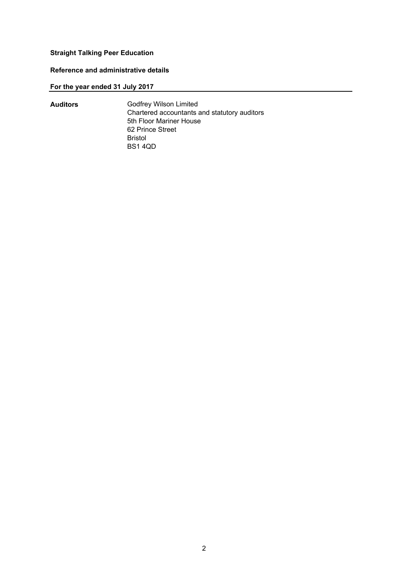# **Reference and administrative details**

# **For the year ended 31 July 2017**

| <b>Auditors</b> | <b>Godfrey Wilson Limited</b>                |
|-----------------|----------------------------------------------|
|                 | Chartered accountants and statutory auditors |
|                 | 5th Floor Mariner House                      |
|                 | 62 Prince Street                             |
|                 | Bristol                                      |
|                 | <b>BS14QD</b>                                |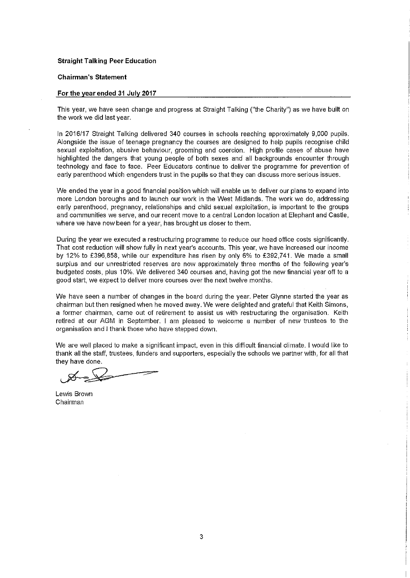#### **Chairman's Statement**

#### For the year ended 31 July 2017

This year, we have seen change and progress at Straight Talking ("the Charity") as we have built on the work we did last year.

In 2016/17 Straight Talking delivered 340 courses in schools reaching approximately 9,000 pupils. Alongside the issue of teenage pregnancy the courses are designed to help pupils recognise child sexual exploitation, abusive behaviour, grooming and coercion. High profile cases of abuse have highlighted the dangers that young people of both sexes and all backgrounds encounter through technology and face to face. Peer Educators continue to deliver the programme for prevention of early parenthood which engenders trust in the pupils so that they can discuss more serious issues.

We ended the year in a good financial position which will enable us to deliver our plans to expand into more London boroughs and to launch our work in the West Midlands. The work we do, addressing early parenthood, pregnancy, relationships and child sexual exploitation, is important to the groups and communities we serve, and our recent move to a central London location at Elephant and Castle, where we have now been for a year, has brought us closer to them.

During the year we executed a restructuring programme to reduce our head office costs significantly. That cost reduction will show fully in next year's accounts. This year, we have increased our income by 12% to £396,858, while our expenditure has risen by only 6% to £392,741. We made a small surplus and our unrestricted reserves are now approximately three months of the following year's budgeted costs, plus 10%. We delivered 340 courses and, having got the new financial year off to a good start, we expect to deliver more courses over the next twelve months.

We have seen a number of changes in the board during the year. Peter Glynne started the year as chairman but then resigned when he moved away. We were delighted and grateful that Keith Simons, a former chairman, came out of retirement to assist us with restructuring the organisation. Keith retired at our AGM in September. I am pleased to welcome a number of new trustees to the organisation and I thank those who have stepped down.

We are well placed to make a significant impact, even in this difficult financial climate. I would like to thank all the staff, trustees, funders and supporters, especially the schools we partner with, for all that they have done.

Lewis Brown Chairman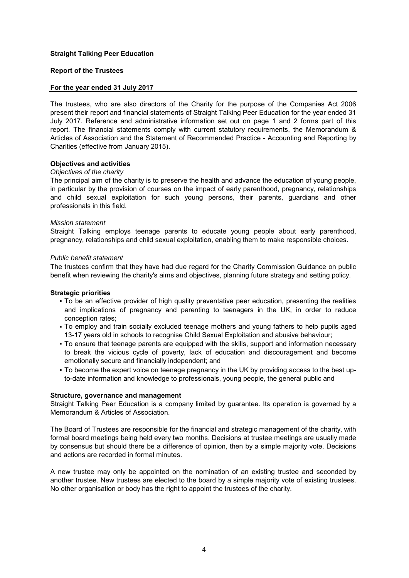#### **Report of the Trustees**

#### **For the year ended 31 July 2017**

The trustees, who are also directors of the Charity for the purpose of the Companies Act 2006 present their report and financial statements of Straight Talking Peer Education for the year ended 31 July 2017. Reference and administrative information set out on page 1 and 2 forms part of this report. The financial statements comply with current statutory requirements, the Memorandum & Articles of Association and the Statement of Recommended Practice - Accounting and Reporting by Charities (effective from January 2015).

#### **Objectives and activities**

#### *Objectives of the charity*

The principal aim of the charity is to preserve the health and advance the education of young people, in particular by the provision of courses on the impact of early parenthood, pregnancy, relationships and child sexual exploitation for such young persons, their parents, guardians and other professionals in this field.

#### *Mission statement*

Straight Talking employs teenage parents to educate young people about early parenthood, pregnancy, relationships and child sexual exploitation, enabling them to make responsible choices.

#### *Public benefit statement*

The trustees confirm that they have had due regard for the Charity Commission Guidance on public benefit when reviewing the charity's aims and objectives, planning future strategy and setting policy.

#### **Strategic priorities**

- To be an effective provider of high quality preventative peer education, presenting the realities and implications of pregnancy and parenting to teenagers in the UK, in order to reduce conception rates;
- To employ and train socially excluded teenage mothers and young fathers to help pupils aged 13-17 years old in schools to recognise Child Sexual Exploitation and abusive behaviour;
- To ensure that teenage parents are equipped with the skills, support and information necessary to break the vicious cycle of poverty, lack of education and discouragement and become emotionally secure and financially independent; and
- To become the expert voice on teenage pregnancy in the UK by providing access to the best upto-date information and knowledge to professionals, young people, the general public and

#### **Structure, governance and management**

Straight Talking Peer Education is a company limited by guarantee. Its operation is governed by a Memorandum & Articles of Association.

The Board of Trustees are responsible for the financial and strategic management of the charity, with formal board meetings being held every two months. Decisions at trustee meetings are usually made by consensus but should there be a difference of opinion, then by a simple majority vote. Decisions and actions are recorded in formal minutes.

A new trustee may only be appointed on the nomination of an existing trustee and seconded by another trustee. New trustees are elected to the board by a simple majority vote of existing trustees. No other organisation or body has the right to appoint the trustees of the charity.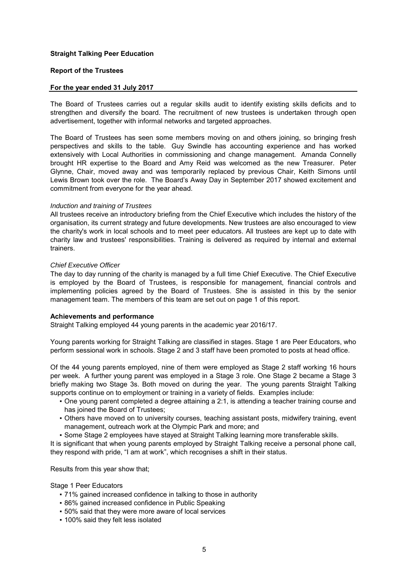#### **Report of the Trustees**

#### **For the year ended 31 July 2017**

The Board of Trustees carries out a regular skills audit to identify existing skills deficits and to strengthen and diversify the board. The recruitment of new trustees is undertaken through open advertisement, together with informal networks and targeted approaches.

The Board of Trustees has seen some members moving on and others joining, so bringing fresh perspectives and skills to the table. Guy Swindle has accounting experience and has worked extensively with Local Authorities in commissioning and change management. Amanda Connelly brought HR expertise to the Board and Amy Reid was welcomed as the new Treasurer. Peter Glynne, Chair, moved away and was temporarily replaced by previous Chair, Keith Simons until Lewis Brown took over the role. The Board's Away Day in September 2017 showed excitement and commitment from everyone for the year ahead.

#### *Induction and training of Trustees*

All trustees receive an introductory briefing from the Chief Executive which includes the history of the organisation, its current strategy and future developments. New trustees are also encouraged to view the charity's work in local schools and to meet peer educators. All trustees are kept up to date with charity law and trustees' responsibilities. Training is delivered as required by internal and external trainers.

#### *Chief Executive Officer*

The day to day running of the charity is managed by a full time Chief Executive. The Chief Executive is employed by the Board of Trustees, is responsible for management, financial controls and implementing policies agreed by the Board of Trustees. She is assisted in this by the senior management team. The members of this team are set out on page 1 of this report.

#### **Achievements and performance**

Straight Talking employed 44 young parents in the academic year 2016/17.

Young parents working for Straight Talking are classified in stages. Stage 1 are Peer Educators, who perform sessional work in schools. Stage 2 and 3 staff have been promoted to posts at head office.

Of the 44 young parents employed, nine of them were employed as Stage 2 staff working 16 hours per week. A further young parent was employed in a Stage 3 role. One Stage 2 became a Stage 3 briefly making two Stage 3s. Both moved on during the year. The young parents Straight Talking supports continue on to employment or training in a variety of fields. Examples include:

- One young parent completed a degree attaining a 2:1, is attending a teacher training course and has joined the Board of Trustees;
- **•** Others have moved on to university courses, teaching assistant posts, midwifery training, event management, outreach work at the Olympic Park and more; and
- Some Stage 2 employees have stayed at Straight Talking learning more transferable skills.

It is significant that when young parents employed by Straight Talking receive a personal phone call, they respond with pride, "I am at work", which recognises a shift in their status.

Results from this year show that;

Stage 1 Peer Educators

- 71% gained increased confidence in talking to those in authority
- **86% gained increased confidence in Public Speaking**
- 50% said that they were more aware of local services
- 100% said they felt less isolated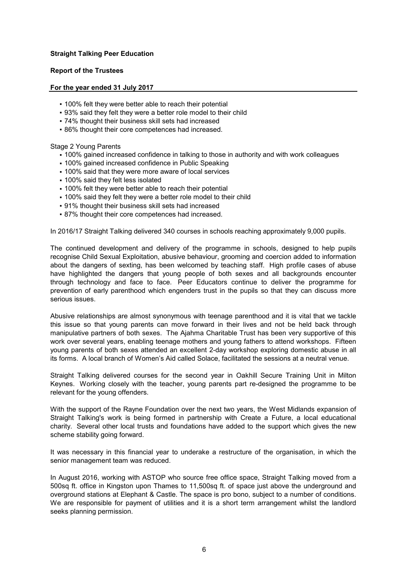## **Report of the Trustees**

#### **For the year ended 31 July 2017**

- 100% felt they were better able to reach their potential
- 93% said they felt they were a better role model to their child
- 74% thought their business skill sets had increased
- **-86% thought their core competences had increased.**

#### Stage 2 Young Parents

- 100% gained increased confidence in talking to those in authority and with work colleagues
- **100% gained increased confidence in Public Speaking**
- 100% said that they were more aware of local services
- 100% said they felt less isolated
- . 100% felt they were better able to reach their potential
- . 100% said they felt they were a better role model to their child
- 91% thought their business skill sets had increased
- **-87% thought their core competences had increased.**

In 2016/17 Straight Talking delivered 340 courses in schools reaching approximately 9,000 pupils.

The continued development and delivery of the programme in schools, designed to help pupils recognise Child Sexual Exploitation, abusive behaviour, grooming and coercion added to information about the dangers of sexting, has been welcomed by teaching staff. High profile cases of abuse have highlighted the dangers that young people of both sexes and all backgrounds encounter through technology and face to face. Peer Educators continue to deliver the programme for prevention of early parenthood which engenders trust in the pupils so that they can discuss more serious issues.

Abusive relationships are almost synonymous with teenage parenthood and it is vital that we tackle this issue so that young parents can move forward in their lives and not be held back through manipulative partners of both sexes. The Ajahma Charitable Trust has been very supportive of this work over several years, enabling teenage mothers and young fathers to attend workshops. Fifteen young parents of both sexes attended an excellent 2-day workshop exploring domestic abuse in all its forms. A local branch of Women's Aid called Solace, facilitated the sessions at a neutral venue.

Straight Talking delivered courses for the second year in Oakhill Secure Training Unit in Milton Keynes. Working closely with the teacher, young parents part re-designed the programme to be relevant for the young offenders.

With the support of the Rayne Foundation over the next two years, the West Midlands expansion of Straight Talking's work is being formed in partnership with Create a Future, a local educational charity. Several other local trusts and foundations have added to the support which gives the new scheme stability going forward.

It was necessary in this financial year to underake a restructure of the organisation, in which the senior management team was reduced.

In August 2016, working with ASTOP who source free office space, Straight Talking moved from a 500sq ft. office in Kingston upon Thames to 11,500sq ft. of space just above the underground and overground stations at Elephant & Castle. The space is pro bono, subject to a number of conditions. We are responsible for payment of utilities and it is a short term arrangement whilst the landlord seeks planning permission.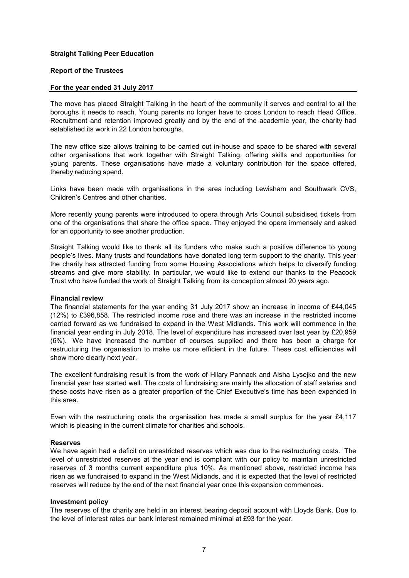#### **Report of the Trustees**

#### **For the year ended 31 July 2017**

The move has placed Straight Talking in the heart of the community it serves and central to all the boroughs it needs to reach. Young parents no longer have to cross London to reach Head Office. Recruitment and retention improved greatly and by the end of the academic year, the charity had established its work in 22 London boroughs.

The new office size allows training to be carried out in-house and space to be shared with several other organisations that work together with Straight Talking, offering skills and opportunities for young parents. These organisations have made a voluntary contribution for the space offered, thereby reducing spend.

Links have been made with organisations in the area including Lewisham and Southwark CVS, Children's Centres and other charities.

More recently young parents were introduced to opera through Arts Council subsidised tickets from one of the organisations that share the office space. They enjoyed the opera immensely and asked for an opportunity to see another production.

Straight Talking would like to thank all its funders who make such a positive difference to young people's lives. Many trusts and foundations have donated long term support to the charity. This year the charity has attracted funding from some Housing Associations which helps to diversify funding streams and give more stability. In particular, we would like to extend our thanks to the Peacock Trust who have funded the work of Straight Talking from its conception almost 20 years ago.

#### **Financial review**

The financial statements for the year ending 31 July 2017 show an increase in income of £44,045 (12%) to £396,858. The restricted income rose and there was an increase in the restricted income carried forward as we fundraised to expand in the West Midlands. This work will commence in the financial year ending in July 2018. The level of expenditure has increased over last year by £20,959 (6%). We have increased the number of courses supplied and there has been a charge for restructuring the organisation to make us more efficient in the future. These cost efficiencies will show more clearly next year.

The excellent fundraising result is from the work of Hilary Pannack and Aisha Lysejko and the new financial year has started well. The costs of fundraising are mainly the allocation of staff salaries and these costs have risen as a greater proportion of the Chief Executive's time has been expended in this area.

Even with the restructuring costs the organisation has made a small surplus for the year £4,117 which is pleasing in the current climate for charities and schools.

#### **Reserves**

We have again had a deficit on unrestricted reserves which was due to the restructuring costs. The level of unrestricted reserves at the year end is compliant with our policy to maintain unrestricted reserves of 3 months current expenditure plus 10%. As mentioned above, restricted income has risen as we fundraised to expand in the West Midlands, and it is expected that the level of restricted reserves will reduce by the end of the next financial year once this expansion commences.

#### **Investment policy**

The reserves of the charity are held in an interest bearing deposit account with Lloyds Bank. Due to the level of interest rates our bank interest remained minimal at £93 for the year.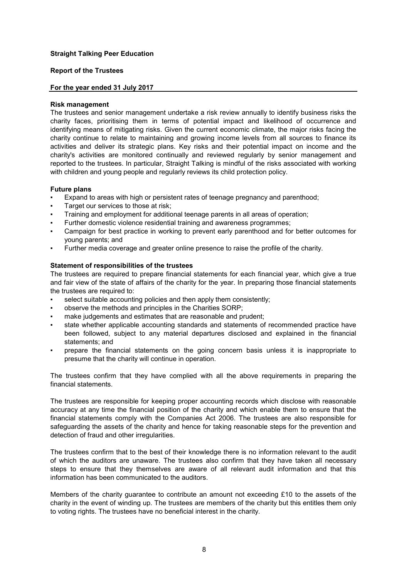#### **Report of the Trustees**

#### **For the year ended 31 July 2017**

#### **Risk management**

The trustees and senior management undertake a risk review annually to identify business risks the charity faces, prioritising them in terms of potential impact and likelihood of occurrence and identifying means of mitigating risks. Given the current economic climate, the major risks facing the charity continue to relate to maintaining and growing income levels from all sources to finance its activities and deliver its strategic plans. Key risks and their potential impact on income and the charity's activities are monitored continually and reviewed regularly by senior management and reported to the trustees. In particular, Straight Talking is mindful of the risks associated with working with children and young people and regularly reviews its child protection policy.

#### **Future plans**

- Expand to areas with high or persistent rates of teenage pregnancy and parenthood;
- Target our services to those at risk;
- Training and employment for additional teenage parents in all areas of operation;
- Further domestic violence residential training and awareness programmes;
- Campaign for best practice in working to prevent early parenthood and for better outcomes for young parents; and
- Further media coverage and greater online presence to raise the profile of the charity.

#### **Statement of responsibilities of the trustees**

The trustees are required to prepare financial statements for each financial year, which give a true and fair view of the state of affairs of the charity for the year. In preparing those financial statements the trustees are required to:

- select suitable accounting policies and then apply them consistently:
- observe the methods and principles in the Charities SORP;
- make judgements and estimates that are reasonable and prudent;
- state whether applicable accounting standards and statements of recommended practice have been followed, subject to any material departures disclosed and explained in the financial statements; and
- prepare the financial statements on the going concern basis unless it is inappropriate to presume that the charity will continue in operation.

The trustees confirm that they have complied with all the above requirements in preparing the financial statements.

The trustees are responsible for keeping proper accounting records which disclose with reasonable accuracy at any time the financial position of the charity and which enable them to ensure that the financial statements comply with the Companies Act 2006. The trustees are also responsible for safeguarding the assets of the charity and hence for taking reasonable steps for the prevention and detection of fraud and other irregularities.

The trustees confirm that to the best of their knowledge there is no information relevant to the audit of which the auditors are unaware. The trustees also confirm that they have taken all necessary steps to ensure that they themselves are aware of all relevant audit information and that this information has been communicated to the auditors.

Members of the charity guarantee to contribute an amount not exceeding £10 to the assets of the charity in the event of winding up. The trustees are members of the charity but this entitles them only to voting rights. The trustees have no beneficial interest in the charity.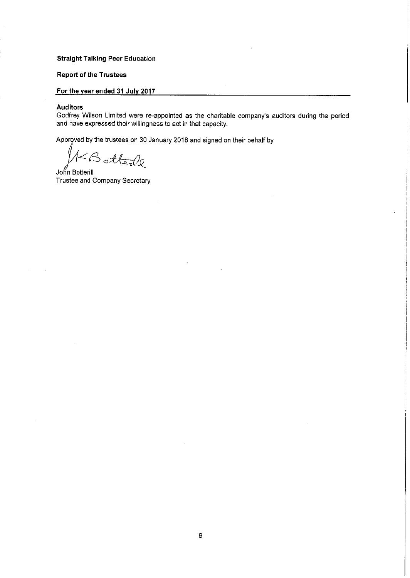#### **Report of the Trustees**

# For the year ended 31 July 2017

#### **Auditors**

Godfrey Wilson Limited were re-appointed as the charitable company's auditors during the period and have expressed their willingness to act in that capacity.

Approved by the trustees on 30 January 2018 and signed on their behalf by

Botterle

John Botterill Trustee and Company Secretary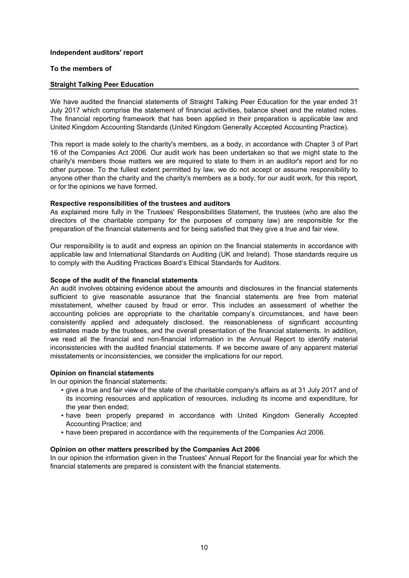#### **Independent auditors' report**

#### **To the members of**

#### **Straight Talking Peer Education**

We have audited the financial statements of Straight Talking Peer Education for the year ended 31 July 2017 which comprise the statement of financial activities, balance sheet and the related notes. The financial reporting framework that has been applied in their preparation is applicable law and United Kingdom Accounting Standards (United Kingdom Generally Accepted Accounting Practice).

This report is made solely to the charity's members, as a body, in accordance with Chapter 3 of Part 16 of the Companies Act 2006. Our audit work has been undertaken so that we might state to the charity's members those matters we are required to state to them in an auditor's report and for no other purpose. To the fullest extent permitted by law, we do not accept or assume responsibility to anyone other than the charity and the charity's members as a body, for our audit work, for this report, or for the opinions we have formed.

#### **Respective responsibilities of the trustees and auditors**

As explained more fully in the Trustees' Responsibilities Statement, the trustees (who are also the directors of the charitable company for the purposes of company law) are responsible for the preparation of the financial statements and for being satisfied that they give a true and fair view.

Our responsibility is to audit and express an opinion on the financial statements in accordance with applicable law and International Standards on Auditing (UK and Ireland). Those standards require us to comply with the Auditing Practices Board's Ethical Standards for Auditors.

#### **Scope of the audit of the financial statements**

An audit involves obtaining evidence about the amounts and disclosures in the financial statements sufficient to give reasonable assurance that the financial statements are free from material misstatement, whether caused by fraud or error. This includes an assessment of whether the accounting policies are appropriate to the charitable company's circumstances, and have been consistently applied and adequately disclosed, the reasonableness of significant accounting estimates made by the trustees, and the overall presentation of the financial statements. In addition, we read all the financial and non-financial information in the Annual Report to identify material inconsistencies with the audited financial statements. If we become aware of any apparent material misstatements or inconsistencies, we consider the implications for our report.

## **Opinion on financial statements**

In our opinion the financial statements:

- give a true and fair view of the state of the charitable company's affairs as at 31 July 2017 and of its incoming resources and application of resources, including its income and expenditure, for the year then ended;
- **•** have been properly prepared in accordance with United Kingdom Generally Accepted Accounting Practice; and
- **•** have been prepared in accordance with the requirements of the Companies Act 2006.

#### **Opinion on other matters prescribed by the Companies Act 2006**

In our opinion the information given in the Trustees' Annual Report for the financial year for which the financial statements are prepared is consistent with the financial statements.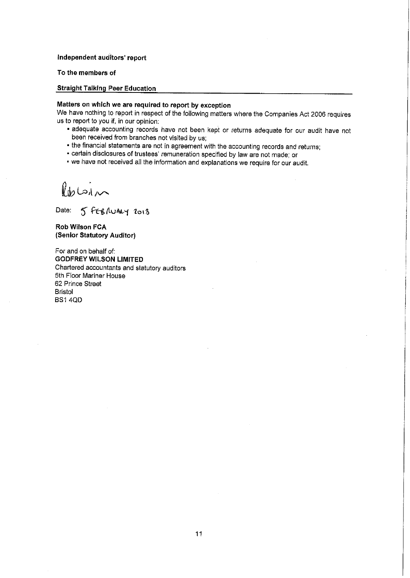#### Independent auditors' report

#### To the members of

#### **Straight Talking Peer Education**

#### Matters on which we are required to report by exception

We have nothing to report in respect of the following matters where the Companies Act 2006 requires us to report to you if, in our opinion:

- adequate accounting records have not been kept or returns adequate for our audit have not been received from branches not visited by us;
- the financial statements are not in agreement with the accounting records and returns;
- certain disclosures of trustees' remuneration specified by law are not made; or
- . we have not received all the information and explanations we require for our audit.

Robin

Date: 5 FEBRUARY 2018

Rob Wilson FCA (Senior Statutory Auditor)

For and on behalf of: **GODFREY WILSON LIMITED** Chartered accountants and statutory auditors 5th Floor Mariner House 62 Prince Street **Bristol BS1 4QD**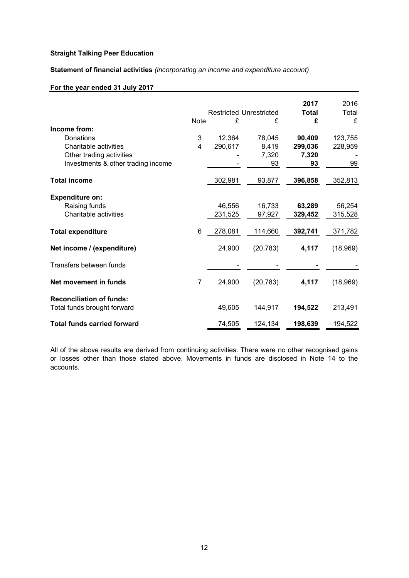**Statement of financial activities** *(incorporating an income and expenditure account)*

# **For the year ended 31 July 2017**

|                                    |                | <b>Restricted Unrestricted</b> |           | 2017<br><b>Total</b> | 2016<br>Total |
|------------------------------------|----------------|--------------------------------|-----------|----------------------|---------------|
|                                    | <b>Note</b>    | £                              | £         | £                    | £             |
| Income from:                       |                |                                |           |                      |               |
| Donations                          | 3              | 12,364                         | 78,045    | 90,409               | 123,755       |
|                                    |                |                                |           |                      |               |
| Charitable activities              | 4              | 290,617                        | 8,419     | 299,036              | 228,959       |
| Other trading activities           |                |                                | 7,320     | 7,320                |               |
| Investments & other trading income |                |                                | 93        | 93                   | 99            |
| <b>Total income</b>                |                | 302,981                        | 93,877    | 396,858              | 352,813       |
|                                    |                |                                |           |                      |               |
| <b>Expenditure on:</b>             |                |                                |           |                      |               |
| Raising funds                      |                | 46,556                         | 16,733    | 63,289               | 56,254        |
| Charitable activities              |                |                                |           |                      |               |
|                                    |                | 231,525                        | 97,927    | 329,452              | 315,528       |
| <b>Total expenditure</b>           | 6              | 278,081                        | 114,660   | 392,741              | 371,782       |
| Net income / (expenditure)         |                | 24,900                         | (20, 783) | 4,117                | (18,969)      |
|                                    |                |                                |           |                      |               |
| Transfers between funds            |                |                                |           |                      |               |
| Net movement in funds              | $\overline{7}$ | 24,900                         | (20, 783) | 4,117                | (18,969)      |
|                                    |                |                                |           |                      |               |
| <b>Reconciliation of funds:</b>    |                |                                |           |                      |               |
| Total funds brought forward        |                | 49,605                         | 144,917   | 194,522              | 213,491       |
| <b>Total funds carried forward</b> |                | 74,505                         | 124,134   | 198,639              | 194,522       |

All of the above results are derived from continuing activities. There were no other recognised gains or losses other than those stated above. Movements in funds are disclosed in Note 14 to the accounts.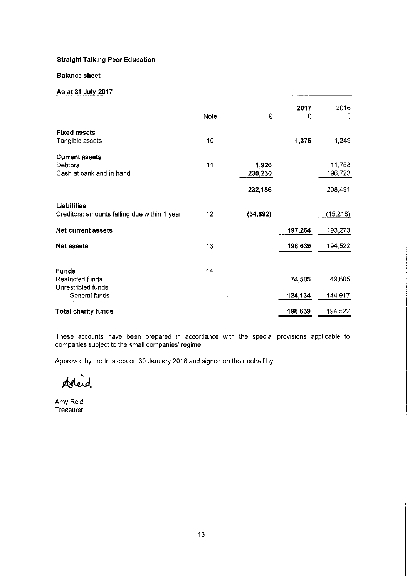#### **Balance sheet**

# As at 31 July 2017

|                                                                         | Note | £                           | 2017<br>£         | 2016<br>£                    |
|-------------------------------------------------------------------------|------|-----------------------------|-------------------|------------------------------|
| <b>Fixed assets</b><br>Tangible assets                                  | 10   |                             | 1,375             | 1,249                        |
| <b>Current assets</b><br>Debtors<br>Cash at bank and in hand            | 11   | 1,926<br>230,230<br>232,156 |                   | 11,768<br>196,723<br>208,491 |
| Liabilities<br>Creditors: amounts falling due within 1 year             | 12   | (34, 892)                   |                   | (15, 218)                    |
| Net current assets                                                      |      |                             | 197,264           | 193,273                      |
| <b>Net assets</b>                                                       | 13   |                             | 198,639           | 194,522                      |
| <b>Funds</b><br>Restricted funds<br>Unrestricted funds<br>General funds | 14   |                             | 74,505<br>124.134 | 49,605<br>144,917            |
| <b>Total charity funds</b>                                              |      |                             | 198,639           | 194,522                      |

These accounts have been prepared in accordance with the special provisions applicable to companies subject to the small companies' regime.

Approved by the trustees on 30 January 2018 and signed on their behalf by

deleid

Amy Reid Treasurer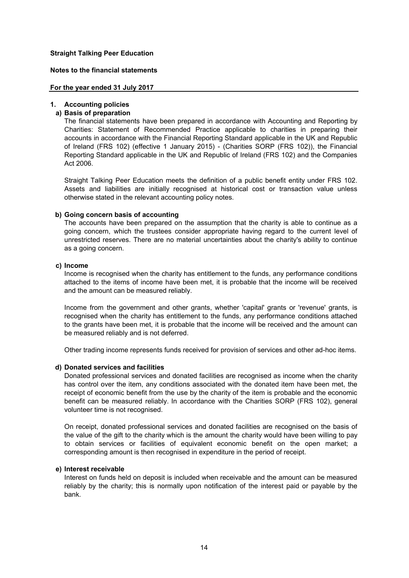#### **Notes to the financial statements**

#### **For the year ended 31 July 2017**

#### **1. Accounting policies**

# **a) Basis of preparation**

The financial statements have been prepared in accordance with Accounting and Reporting by Charities: Statement of Recommended Practice applicable to charities in preparing their accounts in accordance with the Financial Reporting Standard applicable in the UK and Republic of Ireland (FRS 102) (effective 1 January 2015) - (Charities SORP (FRS 102)), the Financial Reporting Standard applicable in the UK and Republic of Ireland (FRS 102) and the Companies Act 2006.

Straight Talking Peer Education meets the definition of a public benefit entity under FRS 102. Assets and liabilities are initially recognised at historical cost or transaction value unless otherwise stated in the relevant accounting policy notes.

#### **b) Going concern basis of accounting**

The accounts have been prepared on the assumption that the charity is able to continue as a going concern, which the trustees consider appropriate having regard to the current level of unrestricted reserves. There are no material uncertainties about the charity's ability to continue as a going concern.

#### **c) Income**

Income is recognised when the charity has entitlement to the funds, any performance conditions attached to the items of income have been met, it is probable that the income will be received and the amount can be measured reliably.

Income from the government and other grants, whether 'capital' grants or 'revenue' grants, is recognised when the charity has entitlement to the funds, any performance conditions attached to the grants have been met, it is probable that the income will be received and the amount can be measured reliably and is not deferred.

Other trading income represents funds received for provision of services and other ad-hoc items.

## **d) Donated services and facilities**

Donated professional services and donated facilities are recognised as income when the charity has control over the item, any conditions associated with the donated item have been met, the receipt of economic benefit from the use by the charity of the item is probable and the economic benefit can be measured reliably. In accordance with the Charities SORP (FRS 102), general volunteer time is not recognised.

On receipt, donated professional services and donated facilities are recognised on the basis of the value of the gift to the charity which is the amount the charity would have been willing to pay to obtain services or facilities of equivalent economic benefit on the open market; a corresponding amount is then recognised in expenditure in the period of receipt.

#### **e) Interest receivable**

Interest on funds held on deposit is included when receivable and the amount can be measured reliably by the charity; this is normally upon notification of the interest paid or payable by the bank.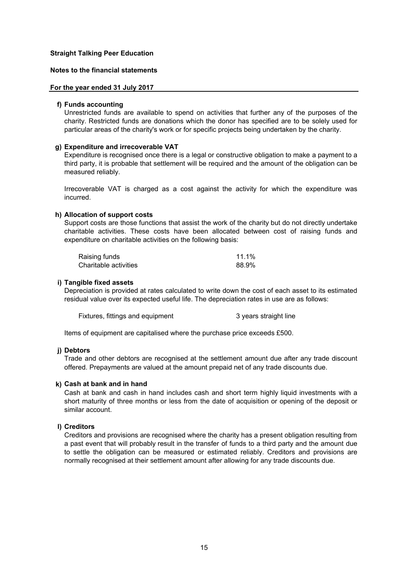#### **Notes to the financial statements**

#### **For the year ended 31 July 2017**

#### **f) Funds accounting**

Unrestricted funds are available to spend on activities that further any of the purposes of the charity. Restricted funds are donations which the donor has specified are to be solely used for particular areas of the charity's work or for specific projects being undertaken by the charity.

#### **g) Expenditure and irrecoverable VAT**

Expenditure is recognised once there is a legal or constructive obligation to make a payment to a third party, it is probable that settlement will be required and the amount of the obligation can be measured reliably.

Irrecoverable VAT is charged as a cost against the activity for which the expenditure was incurred.

#### **h) Allocation of support costs**

Support costs are those functions that assist the work of the charity but do not directly undertake charitable activities. These costs have been allocated between cost of raising funds and expenditure on charitable activities on the following basis:

| Raising funds         | 11.1% |
|-----------------------|-------|
| Charitable activities | 88.9% |

#### **i) Tangible fixed assets**

Depreciation is provided at rates calculated to write down the cost of each asset to its estimated residual value over its expected useful life. The depreciation rates in use are as follows:

Fixtures, fittings and equipment 3 years straight line

Items of equipment are capitalised where the purchase price exceeds £500.

#### **j) Debtors**

Trade and other debtors are recognised at the settlement amount due after any trade discount offered. Prepayments are valued at the amount prepaid net of any trade discounts due.

#### **k) Cash at bank and in hand**

Cash at bank and cash in hand includes cash and short term highly liquid investments with a short maturity of three months or less from the date of acquisition or opening of the deposit or similar account.

# **l) Creditors**

Creditors and provisions are recognised where the charity has a present obligation resulting from a past event that will probably result in the transfer of funds to a third party and the amount due to settle the obligation can be measured or estimated reliably. Creditors and provisions are normally recognised at their settlement amount after allowing for any trade discounts due.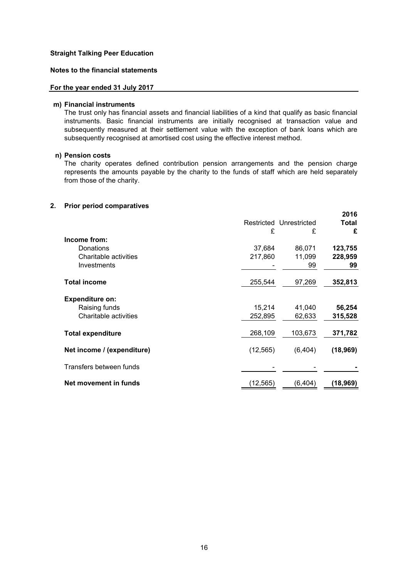## **Notes to the financial statements**

#### **For the year ended 31 July 2017**

#### **m) Financial instruments**

The trust only has financial assets and financial liabilities of a kind that qualify as basic financial instruments. Basic financial instruments are initially recognised at transaction value and subsequently measured at their settlement value with the exception of bank loans which are subsequently recognised at amortised cost using the effective interest method.

#### **n) Pension costs**

The charity operates defined contribution pension arrangements and the pension charge represents the amounts payable by the charity to the funds of staff which are held separately from those of the charity.

#### **2. Prior period comparatives**

|                            |           |                         | 2016      |
|----------------------------|-----------|-------------------------|-----------|
|                            |           | Restricted Unrestricted | Total     |
|                            | £         | £                       | £         |
| Income from:               |           |                         |           |
| Donations                  | 37,684    | 86,071                  | 123,755   |
| Charitable activities      | 217,860   | 11,099                  | 228,959   |
| Investments                |           | 99                      | 99        |
| <b>Total income</b>        | 255,544   | 97,269                  | 352,813   |
| <b>Expenditure on:</b>     |           |                         |           |
| Raising funds              | 15,214    | 41,040                  | 56,254    |
| Charitable activities      | 252,895   | 62,633                  | 315,528   |
| <b>Total expenditure</b>   | 268,109   | 103,673                 | 371,782   |
| Net income / (expenditure) | (12, 565) | (6, 404)                | (18, 969) |
| Transfers between funds    |           |                         |           |
| Net movement in funds      | (12,565)  | (6, 404)                | (18,969)  |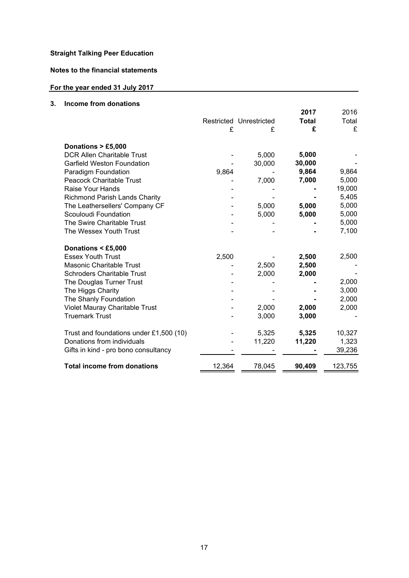**Notes to the financial statements**

# **For the year ended 31 July 2017**

# **3. Income from donations**

| כווטוווס ווטווו עטוומנוטווס             |        |                         | 2017         | 2016    |
|-----------------------------------------|--------|-------------------------|--------------|---------|
|                                         |        | Restricted Unrestricted | <b>Total</b> | Total   |
|                                         | £      | £                       | £            | £       |
|                                         |        |                         |              |         |
| Donations > £5,000                      |        |                         |              |         |
| <b>DCR Allen Charitable Trust</b>       |        | 5,000                   | 5,000        |         |
| <b>Garfield Weston Foundation</b>       |        | 30,000                  | 30,000       |         |
| Paradigm Foundation                     | 9,864  |                         | 9,864        | 9,864   |
| <b>Peacock Charitable Trust</b>         |        | 7,000                   | 7,000        | 5,000   |
| Raise Your Hands                        |        |                         |              | 19,000  |
| <b>Richmond Parish Lands Charity</b>    |        |                         |              | 5,405   |
| The Leathersellers' Company CF          |        | 5,000                   | 5,000        | 5,000   |
| Scouloudi Foundation                    |        | 5,000                   | 5,000        | 5,000   |
| The Swire Charitable Trust              |        |                         |              | 5,000   |
| The Wessex Youth Trust                  |        |                         |              | 7,100   |
| Donations < £5,000                      |        |                         |              |         |
| <b>Essex Youth Trust</b>                | 2,500  |                         | 2,500        | 2,500   |
| Masonic Charitable Trust                |        | 2,500                   | 2,500        |         |
| <b>Schroders Charitable Trust</b>       |        | 2,000                   | 2,000        |         |
| The Douglas Turner Trust                |        |                         |              | 2,000   |
| The Higgs Charity                       |        |                         |              | 3,000   |
| The Shanly Foundation                   |        |                         |              | 2,000   |
| Violet Mauray Charitable Trust          |        | 2,000                   | 2,000        | 2,000   |
| <b>Truemark Trust</b>                   |        | 3,000                   | 3,000        |         |
|                                         |        |                         |              |         |
| Trust and foundations under £1,500 (10) |        | 5,325                   | 5,325        | 10,327  |
| Donations from individuals              |        | 11,220                  | 11,220       | 1,323   |
| Gifts in kind - pro bono consultancy    |        |                         |              | 39,236  |
| <b>Total income from donations</b>      | 12,364 | 78,045                  | 90,409       | 123,755 |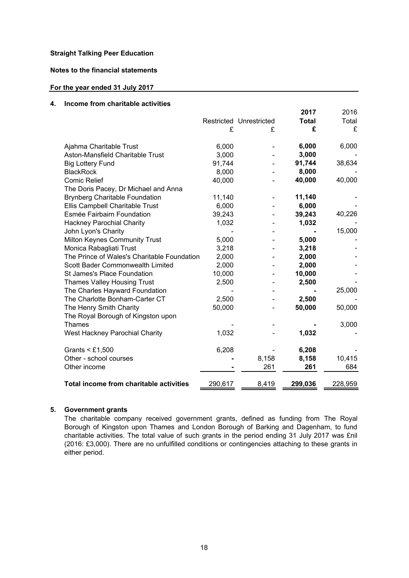# **Notes to the financial statements**

## **For the year ended 31 July 2017**

#### **4. Income from charitable activities**

|                                             |         |                         | 2017    | 2016    |
|---------------------------------------------|---------|-------------------------|---------|---------|
|                                             |         | Restricted Unrestricted | Total   | Total   |
|                                             | £       | £                       | £       | £       |
| Ajahma Charitable Trust                     | 6,000   |                         | 6,000   | 6,000   |
| Aston-Mansfield Charitable Trust            | 3,000   |                         | 3,000   |         |
| <b>Big Lottery Fund</b>                     | 91,744  |                         | 91,744  | 38,634  |
| <b>BlackRock</b>                            | 8,000   |                         | 8,000   |         |
| <b>Comic Relief</b>                         | 40,000  |                         | 40,000  | 40,000  |
| The Doris Pacey, Dr Michael and Anna        |         |                         |         |         |
| <b>Brynberg Charitable Foundation</b>       | 11,140  |                         | 11,140  |         |
| Ellis Campbell Charitable Trust             | 6,000   |                         | 6,000   |         |
| Esmée Fairbairn Foundation                  | 39,243  |                         | 39,243  | 40,226  |
| <b>Hackney Parochial Charity</b>            | 1,032   |                         | 1,032   |         |
| John Lyon's Charity                         |         |                         |         | 15,000  |
| Milton Keynes Community Trust               | 5,000   |                         | 5,000   |         |
| Monica Rabagliati Trust                     | 3,218   |                         | 3,218   |         |
| The Prince of Wales's Charitable Foundation | 2,000   |                         | 2,000   |         |
| Scott Bader Commonwealth Limited            | 2,000   |                         | 2,000   |         |
| St James's Place Foundation                 | 10,000  |                         | 10,000  |         |
| <b>Thames Valley Housing Trust</b>          | 2,500   |                         | 2,500   |         |
| The Charles Hayward Foundation              |         |                         |         | 25,000  |
| The Charlotte Bonham-Carter CT              | 2,500   |                         | 2,500   |         |
| The Henry Smith Charity                     | 50,000  |                         | 50,000  | 50,000  |
| The Royal Borough of Kingston upon          |         |                         |         |         |
| <b>Thames</b>                               |         |                         |         | 3,000   |
| West Hackney Parochial Charity              | 1,032   |                         | 1,032   |         |
| Grants $<$ £1,500                           | 6,208   |                         | 6,208   |         |
| Other - school courses                      |         | 8,158                   | 8,158   | 10,415  |
| Other income                                |         | 261                     | 261     | 684     |
|                                             |         |                         |         |         |
| Total income from charitable activities     | 290,617 | 8,419                   | 299,036 | 228,959 |

# **5. Government grants**

The charitable company received government grants, defined as funding from The Royal Borough of Kingston upon Thames and London Borough of Barking and Dagenham, to fund charitable activities. The total value of such grants in the period ending 31 July 2017 was £nil (2016: £3,000). There are no unfulfilled conditions or contingencies attaching to these grants in either period.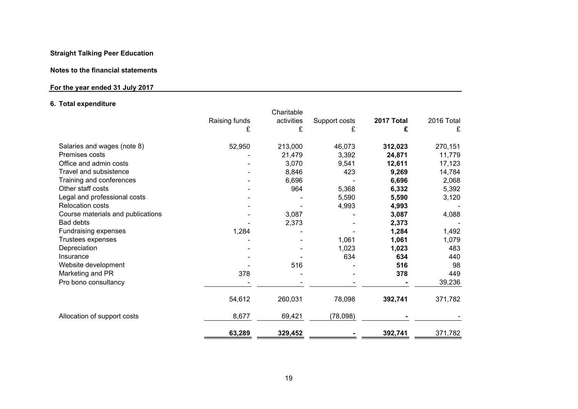#### **Notes to the financial statements**

# **For the year ended 31 July 2017**

# **6. Total expenditure**

|                                   |               | Charitable |               |            |            |
|-----------------------------------|---------------|------------|---------------|------------|------------|
|                                   | Raising funds | activities | Support costs | 2017 Total | 2016 Total |
|                                   | £             | £          | £             | £          | £          |
|                                   |               |            |               |            |            |
| Salaries and wages (note 8)       | 52,950        | 213,000    | 46,073        | 312,023    | 270,151    |
| Premises costs                    |               | 21,479     | 3,392         | 24,871     | 11,779     |
| Office and admin costs            |               | 3,070      | 9,541         | 12,611     | 17,123     |
| Travel and subsistence            |               | 8,846      | 423           | 9,269      | 14,784     |
| Training and conferences          |               | 6,696      |               | 6,696      | 2,068      |
| Other staff costs                 |               | 964        | 5,368         | 6,332      | 5,392      |
| Legal and professional costs      |               |            | 5,590         | 5,590      | 3,120      |
| <b>Relocation costs</b>           |               |            | 4,993         | 4,993      |            |
| Course materials and publications |               | 3,087      |               | 3,087      | 4,088      |
| <b>Bad debts</b>                  |               | 2,373      |               | 2,373      |            |
| Fundraising expenses              | 1,284         |            |               | 1,284      | 1,492      |
| Trustees expenses                 |               |            | 1,061         | 1,061      | 1,079      |
| Depreciation                      |               |            | 1,023         | 1,023      | 483        |
| Insurance                         |               |            | 634           | 634        | 440        |
| Website development               |               | 516        |               | 516        | 98         |
| Marketing and PR                  | 378           |            |               | 378        | 449        |
| Pro bono consultancy              |               |            |               |            | 39,236     |
|                                   | 54,612        | 260,031    | 78,098        | 392,741    | 371,782    |
| Allocation of support costs       | 8,677         | 69,421     | (78,098)      |            |            |
|                                   | 63,289        | 329,452    |               | 392,741    | 371,782    |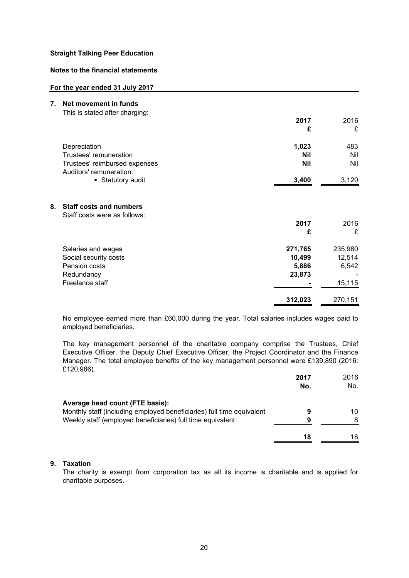# **Notes to the financial statements**

#### **For the year ended 31 July 2017**

| 7. | Net movement in funds                                          |            |         |
|----|----------------------------------------------------------------|------------|---------|
|    | This is stated after charging:                                 |            |         |
|    |                                                                | 2017       | 2016    |
|    |                                                                | £          | £       |
|    | Depreciation                                                   | 1,023      | 483     |
|    | Trustees' remuneration                                         | <b>Nil</b> | Nil     |
|    | Trustees' reimbursed expenses<br>Auditors' remuneration:       | <b>Nil</b> | Nil     |
|    | • Statutory audit                                              | 3,400      | 3,120   |
| 8. | <b>Staff costs and numbers</b><br>Staff costs were as follows: |            |         |
|    |                                                                | 2017       | 2016    |
|    |                                                                | £          | £       |
|    | Salaries and wages                                             | 271,765    | 235,980 |
|    | Social security costs                                          | 10,499     | 12,514  |
|    | Pension costs                                                  | 5,886      | 6,542   |
|    | Redundancy                                                     | 23,873     |         |
|    | Freelance staff                                                |            | 15,115  |
|    |                                                                | 312,023    | 270,151 |

No employee earned more than £60,000 during the year. Total salaries includes wages paid to employed beneficiaries.

The key management personnel of the charitable company comprise the Trustees, Chief Executive Officer, the Deputy Chief Executive Officer, the Project Coordinator and the Finance Manager. The total employee benefits of the key management personnel were £139,890 (2016: £120,986).

|                                                                       | 2017<br>No. | 2016<br>No. |
|-----------------------------------------------------------------------|-------------|-------------|
| Average head count (FTE basis):                                       |             |             |
| Monthly staff (including employed beneficiaries) full time equivalent | 9           | 10          |
| Weekly staff (employed beneficiaries) full time equivalent            | 9           | 8           |
|                                                                       | 18          | 18          |

# **9. Taxation**

The charity is exempt from corporation tax as all its income is charitable and is applied for charitable purposes.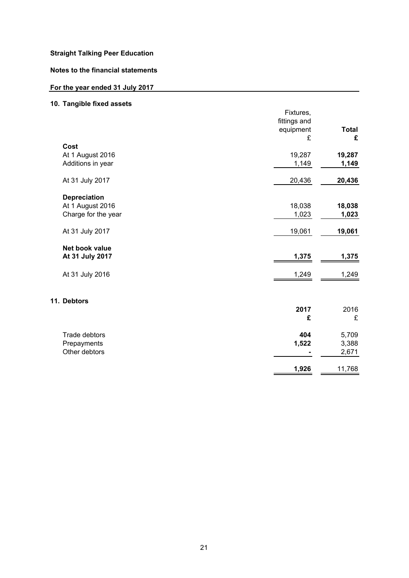# **Notes to the financial statements**

# **For the year ended 31 July 2017**

# **10. Tangible fixed assets**

|                                   | Fixtures,<br>fittings and<br>equipment<br>£ | <b>Total</b><br>£ |
|-----------------------------------|---------------------------------------------|-------------------|
| Cost                              |                                             |                   |
| At 1 August 2016                  | 19,287                                      | 19,287            |
| Additions in year                 | 1,149                                       | 1,149             |
| At 31 July 2017                   | 20,436                                      | 20,436            |
| <b>Depreciation</b>               |                                             |                   |
| At 1 August 2016                  | 18,038                                      | 18,038            |
| Charge for the year               | 1,023                                       | 1,023             |
| At 31 July 2017                   | 19,061                                      | 19,061            |
| Net book value<br>At 31 July 2017 | 1,375                                       | 1,375             |
| At 31 July 2016                   | 1,249                                       | 1,249             |
| 11. Debtors                       |                                             |                   |
|                                   | 2017                                        | 2016              |
|                                   | £                                           | £                 |
| Trade debtors                     | 404                                         | 5,709             |
| Prepayments                       | 1,522                                       | 3,388             |
| Other debtors                     |                                             | 2,671             |
|                                   | 1,926                                       | 11,768            |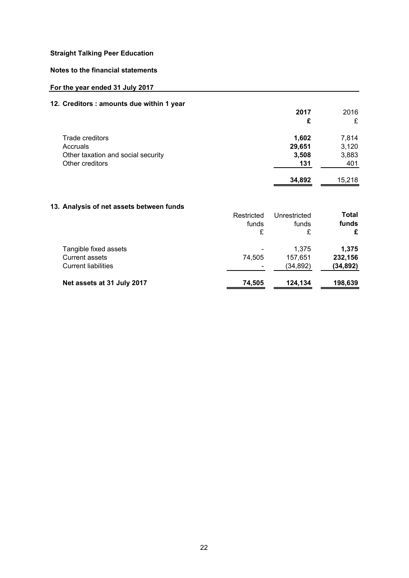# **Notes to the financial statements**

# **For the year ended 31 July 2017**

# **12. Creditors : amounts due within 1 year**

|                                    | 2017   | 2016   |
|------------------------------------|--------|--------|
|                                    | £      | £      |
| Trade creditors                    | 1,602  | 7,814  |
| Accruals                           | 29,651 | 3,120  |
| Other taxation and social security | 3,508  | 3,883  |
| Other creditors                    | 131    | 401    |
|                                    | 34,892 | 15.218 |

# **13. Analysis of net assets between funds**

|                            | Restricted<br>funds | Unrestricted<br>funds | Total<br>funds |
|----------------------------|---------------------|-----------------------|----------------|
|                            | £                   | £                     | £              |
| Tangible fixed assets      |                     | 1,375                 | 1,375          |
| <b>Current assets</b>      | 74,505              | 157.651               | 232,156        |
| <b>Current liabilities</b> |                     | (34,892)              | (34,892)       |
| Net assets at 31 July 2017 | 74,505              | 124,134               | 198,639        |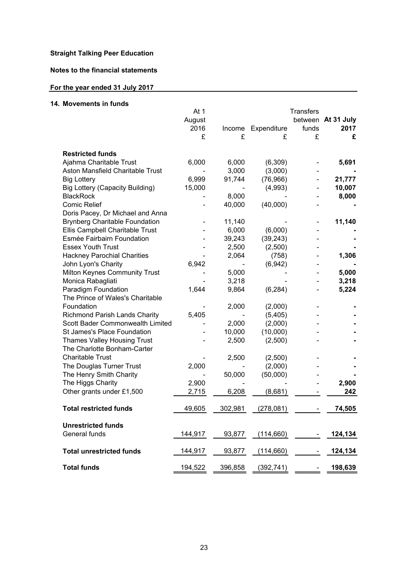# **Notes to the financial statements**

#### **For the year ended 31 July 2017**

#### **14. Movements in funds** At 1 August 2016 Income Expenditure **2017** £ £ £ £ **£ Restricted funds** Ajahma Charitable Trust 6,000 6,000 (6,309) - **5,691** Aston Mansfield Charitable Trust - 3,000 (3,000) - **-** Big Lottery 6,999 91,744 (76,966) - **21,777** Big Lottery (Capacity Building) 15,000 - (4,993) - **10,007** BlackRock - 8,000 - - **8,000** Comic Relief - 40,000 (40,000) - **-** - 11,140 - - **11,140** Ellis Campbell Charitable Trust - 6,000 (6,000) - **-** Esmée Fairbairn Foundation - 39,243 (39,243) - **-** Essex Youth Trust - 2,500 (2,500) - **-** Hackney Parochial Charities - 2,064 (758) - **1,306** John Lyon's Charity 6,942 - (6,942) - **-** Milton Keynes Community Trust **-** 5,000 - - **5,000** Monica Rabagliati - 3,218 - - **3,218** Paradigm Foundation 1,644 9,864 (6,284) - **5,224** - 2,000 (2,000) - **-** Richmond Parish Lands Charity 5,405 - (5,405) - **-** Scott Bader Commonwealth Limited - 2,000 (2,000) - **-** St James's Place Foundation - 10,000 (10,000) - **-** Thames Valley Housing Trust - 2,500 (2,500) - **-** - 2,500 (2,500) - **-** The Douglas Turner Trust 2,000 - (2,000) - **-** The Henry Smith Charity - 50,000 (50,000) - **-** The Higgs Charity 2,900 - - - **2,900** Other grants under £1,500 2,715 6,208 (8,681) - **242 Total restricted funds** 49,605 302,981 (278,081) - **74,505** General funds **144,917** 93,877 (114,660) - **124,134 Total unrestricted funds** 144,917 93,877 (114,660) - **124,134 Total funds** 194,522 396,858 (392,741) - **198,639 Transfers** between **At 31 July**  funds Doris Pacey, Dr Michael and Anna Brynberg Charitable Foundation **Unrestricted funds** The Charlotte Bonham-Carter Charitable Trust The Prince of Wales's Charitable Foundation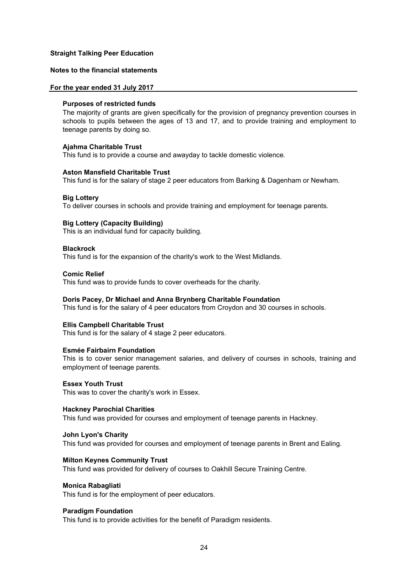# **Notes to the financial statements**

#### **For the year ended 31 July 2017**

#### **Purposes of restricted funds**

The majority of grants are given specifically for the provision of pregnancy prevention courses in schools to pupils between the ages of 13 and 17, and to provide training and employment to teenage parents by doing so.

#### **Ajahma Charitable Trust**

This fund is to provide a course and awayday to tackle domestic violence.

#### **Aston Mansfield Charitable Trust**

This fund is for the salary of stage 2 peer educators from Barking & Dagenham or Newham.

#### **Big Lottery**

To deliver courses in schools and provide training and employment for teenage parents.

#### **Big Lottery (Capacity Building)**

This is an individual fund for capacity building.

#### **Blackrock**

This fund is for the expansion of the charity's work to the West Midlands.

#### **Comic Relief**

This fund was to provide funds to cover overheads for the charity.

#### **Doris Pacey, Dr Michael and Anna Brynberg Charitable Foundation**

This fund is for the salary of 4 peer educators from Croydon and 30 courses in schools.

#### **Ellis Campbell Charitable Trust**

This fund is for the salary of 4 stage 2 peer educators.

#### **Esmée Fairbairn Foundation**

This is to cover senior management salaries, and delivery of courses in schools, training and employment of teenage parents.

#### **Essex Youth Trust**

This was to cover the charity's work in Essex.

# **Hackney Parochial Charities**

This fund was provided for courses and employment of teenage parents in Hackney.

#### **John Lyon's Charity**

This fund was provided for courses and employment of teenage parents in Brent and Ealing.

#### **Milton Keynes Community Trust**

This fund was provided for delivery of courses to Oakhill Secure Training Centre.

#### **Monica Rabagliati**

This fund is for the employment of peer educators.

#### **Paradigm Foundation**

This fund is to provide activities for the benefit of Paradigm residents.